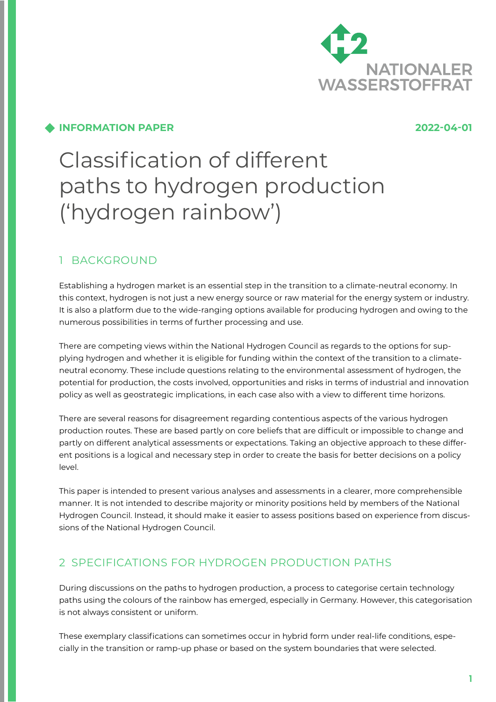

### **INFORMATION PAPER 2022-04-01**

# Classification of different paths to hydrogen production ('hydrogen rainbow')

# 1 BACKGROUND

Establishing a hydrogen market is an essential step in the transition to a climate-neutral economy. In this context, hydrogen is not just a new energy source or raw material for the energy system or industry. It is also a platform due to the wide-ranging options available for producing hydrogen and owing to the numerous possibilities in terms of further processing and use.

There are competing views within the National Hydrogen Council as regards to the options for supplying hydrogen and whether it is eligible for funding within the context of the transition to a climateneutral economy. These include questions relating to the environmental assessment of hydrogen, the potential for production, the costs involved, opportunities and risks in terms of industrial and innovation policy as well as geostrategic implications, in each case also with a view to different time horizons.

There are several reasons for disagreement regarding contentious aspects of the various hydrogen production routes. These are based partly on core beliefs that are difficult or impossible to change and partly on different analytical assessments or expectations. Taking an objective approach to these different positions is a logical and necessary step in order to create the basis for better decisions on a policy level.

This paper is intended to present various analyses and assessments in a clearer, more comprehensible manner. It is not intended to describe majority or minority positions held by members of the National Hydrogen Council. Instead, it should make it easier to assess positions based on experience from discussions of the National Hydrogen Council.

# 2 SPECIFICATIONS FOR HYDROGEN PRODUCTION PATHS

During discussions on the paths to hydrogen production, a process to categorise certain technology paths using the colours of the rainbow has emerged, especially in Germany. However, this categorisation is not always consistent or uniform.

These exemplary classifications can sometimes occur in hybrid form under real-life conditions, especially in the transition or ramp-up phase or based on the system boundaries that were selected.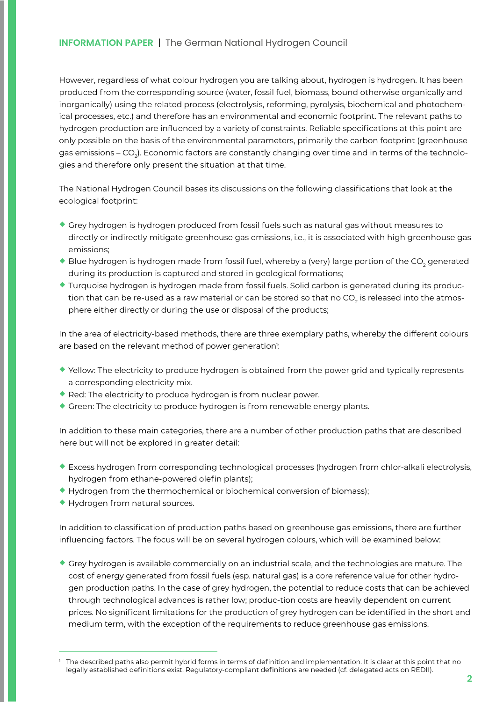However, regardless of what colour hydrogen you are talking about, hydrogen is hydrogen. It has been produced from the corresponding source (water, fossil fuel, biomass, bound otherwise organically and inorganically) using the related process (electrolysis, reforming, pyrolysis, biochemical and photochemical processes, etc.) and therefore has an environmental and economic footprint. The relevant paths to hydrogen production are influenced by a variety of constraints. Reliable specifications at this point are only possible on the basis of the environmental parameters, primarily the carbon footprint (greenhouse gas emissions – CO<sub>2</sub>). Economic factors are constantly changing over time and in terms of the technologies and therefore only present the situation at that time.

The National Hydrogen Council bases its discussions on the following classifications that look at the ecological footprint:

- ¡ Grey hydrogen is hydrogen produced from fossil fuels such as natural gas without measures to directly or indirectly mitigate greenhouse gas emissions, i.e., it is associated with high greenhouse gas emissions;
- $\blacklozenge$  Blue hydrogen is hydrogen made from fossil fuel, whereby a (very) large portion of the CO<sub>2</sub> generated during its production is captured and stored in geological formations;
- ¡ Turquoise hydrogen is hydrogen made from fossil fuels. Solid carbon is generated during its production that can be re-used as a raw material or can be stored so that no CO<sub>2</sub> is released into the atmosphere either directly or during the use or disposal of the products;

In the area of electricity-based methods, there are three exemplary paths, whereby the different colours are based on the relevant method of power generation<sup>1</sup>:

- ¡ Yellow: The electricity to produce hydrogen is obtained from the power grid and typically represents a corresponding electricity mix.
- Red: The electricity to produce hydrogen is from nuclear power.
- ¡ Green: The electricity to produce hydrogen is from renewable energy plants.

In addition to these main categories, there are a number of other production paths that are described here but will not be explored in greater detail:

- ¡ Excess hydrogen from corresponding technological processes (hydrogen from chlor-alkali electrolysis, hydrogen from ethane-powered olefin plants);
- $\blacklozenge$  Hydrogen from the thermochemical or biochemical conversion of biomass);
- ¡ Hydrogen from natural sources.

In addition to classification of production paths based on greenhouse gas emissions, there are further influencing factors. The focus will be on several hydrogen colours, which will be examined below:

 $\bullet$  Grey hydrogen is available commercially on an industrial scale, and the technologies are mature. The cost of energy generated from fossil fuels (esp. natural gas) is a core reference value for other hydrogen production paths. In the case of grey hydrogen, the potential to reduce costs that can be achieved through technological advances is rather low; produc-tion costs are heavily dependent on current prices. No significant limitations for the production of grey hydrogen can be identified in the short and medium term, with the exception of the requirements to reduce greenhouse gas emissions.

The described paths also permit hybrid forms in terms of definition and implementation. It is clear at this point that no legally established definitions exist. Regulatory-compliant definitions are needed (cf. delegated acts on REDII).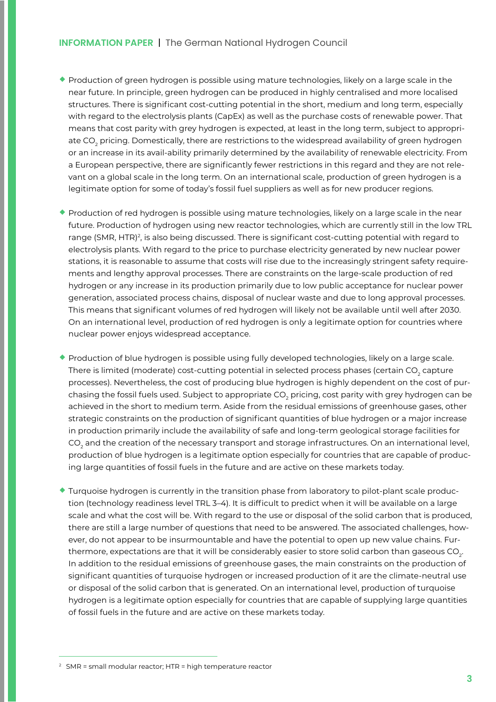- $\bullet$  Production of green hydrogen is possible using mature technologies, likely on a large scale in the near future. In principle, green hydrogen can be produced in highly centralised and more localised structures. There is significant cost-cutting potential in the short, medium and long term, especially with regard to the electrolysis plants (CapEx) as well as the purchase costs of renewable power. That means that cost parity with grey hydrogen is expected, at least in the long term, subject to appropriate CO $_{\rm 2}$  pricing. Domestically, there are restrictions to the widespread availability of green hydrogen or an increase in its avail-ability primarily determined by the availability of renewable electricity. From a European perspective, there are significantly fewer restrictions in this regard and they are not relevant on a global scale in the long term. On an international scale, production of green hydrogen is a legitimate option for some of today's fossil fuel suppliers as well as for new producer regions.
- ¡ Production of red hydrogen is possible using mature technologies, likely on a large scale in the near future. Production of hydrogen using new reactor technologies, which are currently still in the low TRL range (SMR, HTR)<sup>2</sup>, is also being discussed. There is significant cost-cutting potential with regard to electrolysis plants. With regard to the price to purchase electricity generated by new nuclear power stations, it is reasonable to assume that costs will rise due to the increasingly stringent safety requirements and lengthy approval processes. There are constraints on the large-scale production of red hydrogen or any increase in its production primarily due to low public acceptance for nuclear power generation, associated process chains, disposal of nuclear waste and due to long approval processes. This means that significant volumes of red hydrogen will likely not be available until well after 2030. On an international level, production of red hydrogen is only a legitimate option for countries where nuclear power enjoys widespread acceptance.
- ¡ Production of blue hydrogen is possible using fully developed technologies, likely on a large scale. There is limited (moderate) cost-cutting potential in selected process phases (certain CO<sub>2</sub> capture processes). Nevertheless, the cost of producing blue hydrogen is highly dependent on the cost of purchasing the fossil fuels used. Subject to appropriate CO $_{_2}$  pricing, cost parity with grey hydrogen can be achieved in the short to medium term. Aside from the residual emissions of greenhouse gases, other strategic constraints on the production of significant quantities of blue hydrogen or a major increase in production primarily include the availability of safe and long-term geological storage facilities for CO $_{\rm 2}$  and the creation of the necessary transport and storage infrastructures. On an international level, production of blue hydrogen is a legitimate option especially for countries that are capable of producing large quantities of fossil fuels in the future and are active on these markets today.
- $\bullet$  Turquoise hydrogen is currently in the transition phase from laboratory to pilot-plant scale production (technology readiness level TRL 3–4). It is difficult to predict when it will be available on a large scale and what the cost will be. With regard to the use or disposal of the solid carbon that is produced, there are still a large number of questions that need to be answered. The associated challenges, however, do not appear to be insurmountable and have the potential to open up new value chains. Furthermore, expectations are that it will be considerably easier to store solid carbon than gaseous CO<sub>2</sub>. In addition to the residual emissions of greenhouse gases, the main constraints on the production of significant quantities of turquoise hydrogen or increased production of it are the climate-neutral use or disposal of the solid carbon that is generated. On an international level, production of turquoise hydrogen is a legitimate option especially for countries that are capable of supplying large quantities of fossil fuels in the future and are active on these markets today.

<sup>2</sup> SMR = small modular reactor; HTR = high temperature reactor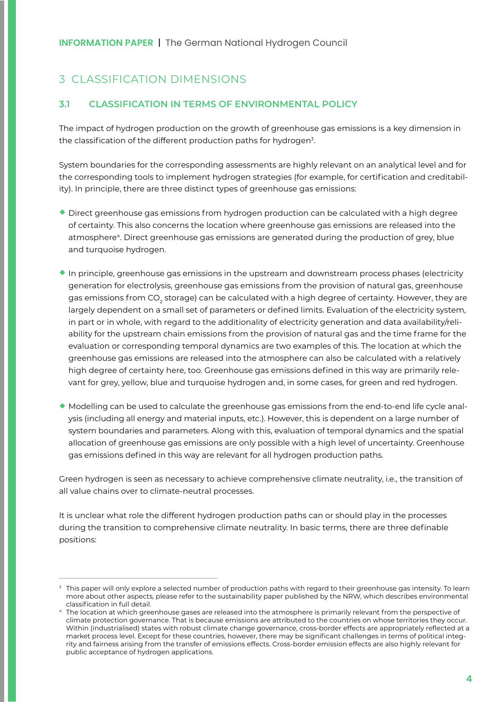# 3 CLASSIFICATION DIMENSIONS

#### **3.1 CLASSIFICATION IN TERMS OF ENVIRONMENTAL POLICY**

The impact of hydrogen production on the growth of greenhouse gas emissions is a key dimension in the classification of the different production paths for hydrogen<sup>3</sup>.

System boundaries for the corresponding assessments are highly relevant on an analytical level and for the corresponding tools to implement hydrogen strategies (for example, for certification and creditability). In principle, there are three distinct types of greenhouse gas emissions:

- ¡ Direct greenhouse gas emissions from hydrogen production can be calculated with a high degree of certainty. This also concerns the location where greenhouse gas emissions are released into the atmosphere<sup>4</sup>. Direct greenhouse gas emissions are generated during the production of grey, blue and turquoise hydrogen.
- $\bullet$  In principle, greenhouse gas emissions in the upstream and downstream process phases (electricity generation for electrolysis, greenhouse gas emissions from the provision of natural gas, greenhouse gas emissions from CO<sub>2</sub> storage) can be calculated with a high degree of certainty. However, they are largely dependent on a small set of parameters or defined limits. Evaluation of the electricity system, in part or in whole, with regard to the additionality of electricity generation and data availability/reliability for the upstream chain emissions from the provision of natural gas and the time frame for the evaluation or corresponding temporal dynamics are two examples of this. The location at which the greenhouse gas emissions are released into the atmosphere can also be calculated with a relatively high degree of certainty here, too. Greenhouse gas emissions defined in this way are primarily relevant for grey, yellow, blue and turquoise hydrogen and, in some cases, for green and red hydrogen.
- ¡ Modelling can be used to calculate the greenhouse gas emissions from the end-to-end life cycle analysis (including all energy and material inputs, etc.). However, this is dependent on a large number of system boundaries and parameters. Along with this, evaluation of temporal dynamics and the spatial allocation of greenhouse gas emissions are only possible with a high level of uncertainty. Greenhouse gas emissions defined in this way are relevant for all hydrogen production paths.

Green hydrogen is seen as necessary to achieve comprehensive climate neutrality, i.e., the transition of all value chains over to climate-neutral processes.

It is unclear what role the different hydrogen production paths can or should play in the processes during the transition to comprehensive climate neutrality. In basic terms, there are three definable positions:

<sup>&</sup>lt;sup>3</sup> This paper will only explore a selected number of production paths with regard to their greenhouse gas intensity. To learn more about other aspects, please refer to the sustainability paper published by the NRW, which describes environmental classification in full detail.

<sup>4</sup> The location at which greenhouse gases are released into the atmosphere is primarily relevant from the perspective of climate protection governance. That is because emissions are attributed to the countries on whose territories they occur. Within (industrialised) states with robust climate change governance, cross-border effects are appropriately reflected at a market process level. Except for these countries, however, there may be significant challenges in terms of political integrity and fairness arising from the transfer of emissions effects. Cross-border emission effects are also highly relevant for public acceptance of hydrogen applications.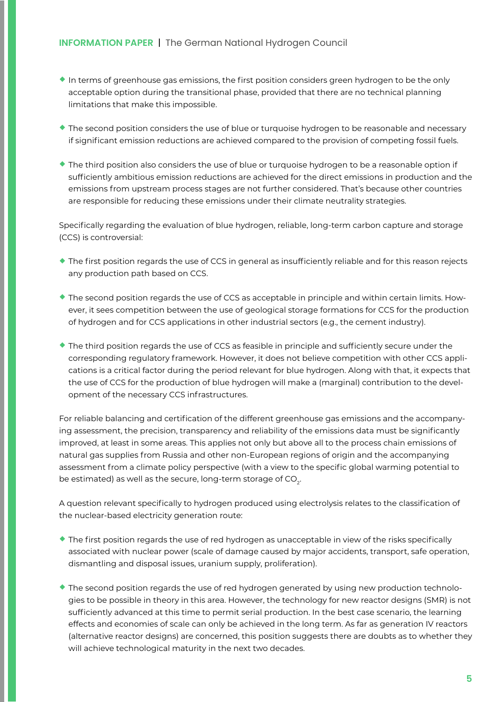- $\bullet$  In terms of greenhouse gas emissions, the first position considers green hydrogen to be the only acceptable option during the transitional phase, provided that there are no technical planning limitations that make this impossible.
- ¡ The second position considers the use of blue or turquoise hydrogen to be reasonable and necessary if significant emission reductions are achieved compared to the provision of competing fossil fuels.
- ¡ The third position also considers the use of blue or turquoise hydrogen to be a reasonable option if sufficiently ambitious emission reductions are achieved for the direct emissions in production and the emissions from upstream process stages are not further considered. That's because other countries are responsible for reducing these emissions under their climate neutrality strategies.

Specifically regarding the evaluation of blue hydrogen, reliable, long-term carbon capture and storage (CCS) is controversial:

- ¡ The first position regards the use of CCS in general as insufficiently reliable and for this reason rejects any production path based on CCS.
- ¡ The second position regards the use of CCS as acceptable in principle and within certain limits. However, it sees competition between the use of geological storage formations for CCS for the production of hydrogen and for CCS applications in other industrial sectors (e.g., the cement industry).
- $\bullet$  The third position regards the use of CCS as feasible in principle and sufficiently secure under the corresponding regulatory framework. However, it does not believe competition with other CCS applications is a critical factor during the period relevant for blue hydrogen. Along with that, it expects that the use of CCS for the production of blue hydrogen will make a (marginal) contribution to the development of the necessary CCS infrastructures.

For reliable balancing and certification of the different greenhouse gas emissions and the accompanying assessment, the precision, transparency and reliability of the emissions data must be significantly improved, at least in some areas. This applies not only but above all to the process chain emissions of natural gas supplies from Russia and other non-European regions of origin and the accompanying assessment from a climate policy perspective (with a view to the specific global warming potential to be estimated) as well as the secure, long-term storage of CO<sub>2</sub>.

A question relevant specifically to hydrogen produced using electrolysis relates to the classification of the nuclear-based electricity generation route:

- ¡ The first position regards the use of red hydrogen as unacceptable in view of the risks specifically associated with nuclear power (scale of damage caused by major accidents, transport, safe operation, dismantling and disposal issues, uranium supply, proliferation).
- ¡ The second position regards the use of red hydrogen generated by using new production technologies to be possible in theory in this area. However, the technology for new reactor designs (SMR) is not sufficiently advanced at this time to permit serial production. In the best case scenario, the learning effects and economies of scale can only be achieved in the long term. As far as generation IV reactors (alternative reactor designs) are concerned, this position suggests there are doubts as to whether they will achieve technological maturity in the next two decades.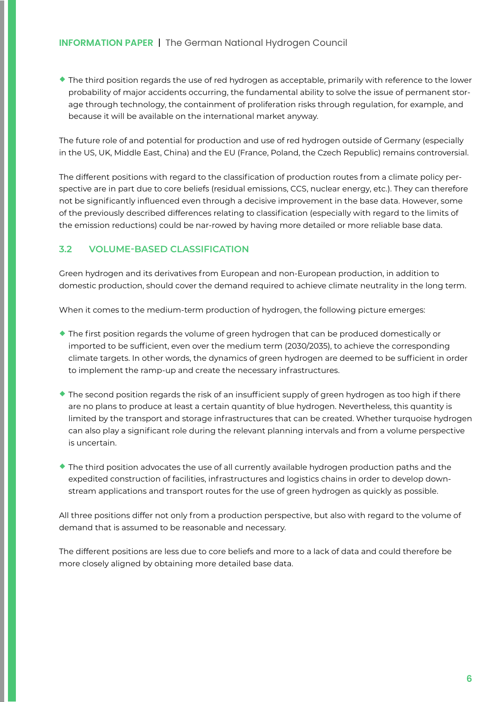¡ The third position regards the use of red hydrogen as acceptable, primarily with reference to the lower probability of major accidents occurring, the fundamental ability to solve the issue of permanent storage through technology, the containment of proliferation risks through regulation, for example, and because it will be available on the international market anyway.

The future role of and potential for production and use of red hydrogen outside of Germany (especially in the US, UK, Middle East, China) and the EU (France, Poland, the Czech Republic) remains controversial.

The different positions with regard to the classification of production routes from a climate policy perspective are in part due to core beliefs (residual emissions, CCS, nuclear energy, etc.). They can therefore not be significantly influenced even through a decisive improvement in the base data. However, some of the previously described differences relating to classification (especially with regard to the limits of the emission reductions) could be nar-rowed by having more detailed or more reliable base data.

#### **3.2 VOLUME-BASED CLASSIFICATION**

Green hydrogen and its derivatives from European and non-European production, in addition to domestic production, should cover the demand required to achieve climate neutrality in the long term.

When it comes to the medium-term production of hydrogen, the following picture emerges:

- $\bullet$  The first position regards the volume of green hydrogen that can be produced domestically or imported to be sufficient, even over the medium term (2030/2035), to achieve the corresponding climate targets. In other words, the dynamics of green hydrogen are deemed to be sufficient in order to implement the ramp-up and create the necessary infrastructures.
- $\blacklozenge$  The second position regards the risk of an insufficient supply of green hydrogen as too high if there are no plans to produce at least a certain quantity of blue hydrogen. Nevertheless, this quantity is limited by the transport and storage infrastructures that can be created. Whether turquoise hydrogen can also play a significant role during the relevant planning intervals and from a volume perspective is uncertain.
- ¡ The third position advocates the use of all currently available hydrogen production paths and the expedited construction of facilities, infrastructures and logistics chains in order to develop downstream applications and transport routes for the use of green hydrogen as quickly as possible.

All three positions differ not only from a production perspective, but also with regard to the volume of demand that is assumed to be reasonable and necessary.

The different positions are less due to core beliefs and more to a lack of data and could therefore be more closely aligned by obtaining more detailed base data.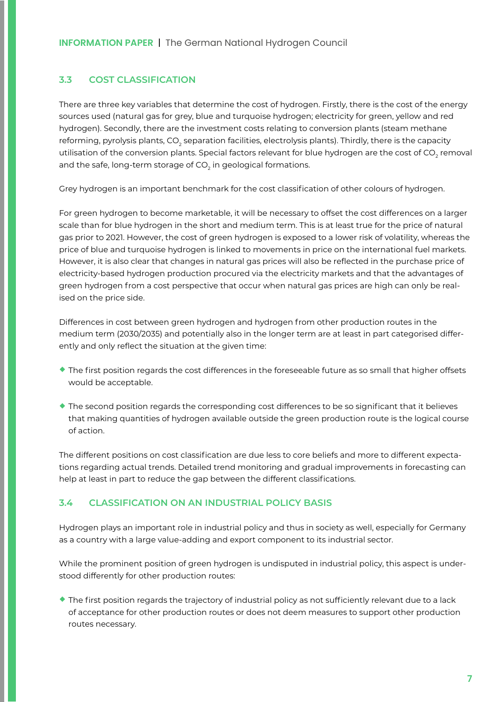#### **3.3 COST CLASSIFICATION**

There are three key variables that determine the cost of hydrogen. Firstly, there is the cost of the energy sources used (natural gas for grey, blue and turquoise hydrogen; electricity for green, yellow and red hydrogen). Secondly, there are the investment costs relating to conversion plants (steam methane reforming, pyrolysis plants, CO<sub>2</sub> separation facilities, electrolysis plants). Thirdly, there is the capacity utilisation of the conversion plants. Special factors relevant for blue hydrogen are the cost of CO $_{\rm 2}$  removal and the safe, long-term storage of CO $_{_2}$  in geological formations.

Grey hydrogen is an important benchmark for the cost classification of other colours of hydrogen.

For green hydrogen to become marketable, it will be necessary to offset the cost differences on a larger scale than for blue hydrogen in the short and medium term. This is at least true for the price of natural gas prior to 2021. However, the cost of green hydrogen is exposed to a lower risk of volatility, whereas the price of blue and turquoise hydrogen is linked to movements in price on the international fuel markets. However, it is also clear that changes in natural gas prices will also be reflected in the purchase price of electricity-based hydrogen production procured via the electricity markets and that the advantages of green hydrogen from a cost perspective that occur when natural gas prices are high can only be realised on the price side.

Differences in cost between green hydrogen and hydrogen from other production routes in the medium term (2030/2035) and potentially also in the longer term are at least in part categorised differently and only reflect the situation at the given time:

- ¡ The first position regards the cost differences in the foreseeable future as so small that higher offsets would be acceptable.
- ¡ The second position regards the corresponding cost differences to be so significant that it believes that making quantities of hydrogen available outside the green production route is the logical course of action.

The different positions on cost classification are due less to core beliefs and more to different expectations regarding actual trends. Detailed trend monitoring and gradual improvements in forecasting can help at least in part to reduce the gap between the different classifications.

#### **3.4 CLASSIFICATION ON AN INDUSTRIAL POLICY BASIS**

Hydrogen plays an important role in industrial policy and thus in society as well, especially for Germany as a country with a large value-adding and export component to its industrial sector.

While the prominent position of green hydrogen is undisputed in industrial policy, this aspect is understood differently for other production routes:

¡ The first position regards the trajectory of industrial policy as not sufficiently relevant due to a lack of acceptance for other production routes or does not deem measures to support other production routes necessary.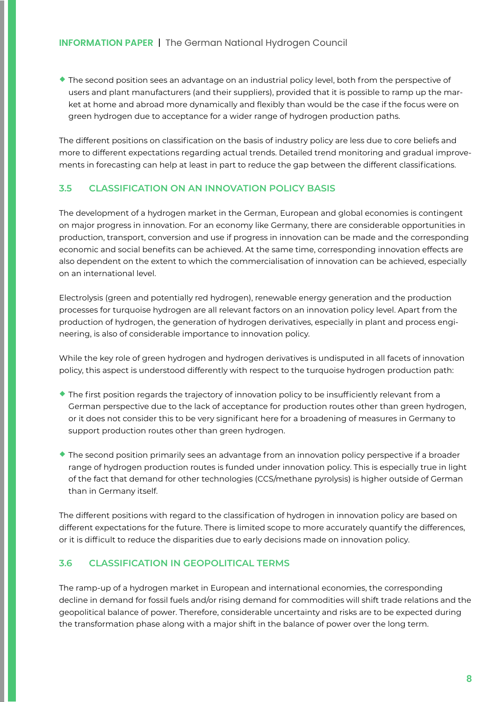$\bullet$  The second position sees an advantage on an industrial policy level, both from the perspective of users and plant manufacturers (and their suppliers), provided that it is possible to ramp up the market at home and abroad more dynamically and flexibly than would be the case if the focus were on green hydrogen due to acceptance for a wider range of hydrogen production paths.

The different positions on classification on the basis of industry policy are less due to core beliefs and more to different expectations regarding actual trends. Detailed trend monitoring and gradual improvements in forecasting can help at least in part to reduce the gap between the different classifications.

#### **3.5 CLASSIFICATION ON AN INNOVATION POLICY BASIS**

The development of a hydrogen market in the German, European and global economies is contingent on major progress in innovation. For an economy like Germany, there are considerable opportunities in production, transport, conversion and use if progress in innovation can be made and the corresponding economic and social benefits can be achieved. At the same time, corresponding innovation effects are also dependent on the extent to which the commercialisation of innovation can be achieved, especially on an international level.

Electrolysis (green and potentially red hydrogen), renewable energy generation and the production processes for turquoise hydrogen are all relevant factors on an innovation policy level. Apart from the production of hydrogen, the generation of hydrogen derivatives, especially in plant and process engineering, is also of considerable importance to innovation policy.

While the key role of green hydrogen and hydrogen derivatives is undisputed in all facets of innovation policy, this aspect is understood differently with respect to the turquoise hydrogen production path:

- $\bullet$  The first position regards the trajectory of innovation policy to be insufficiently relevant from a German perspective due to the lack of acceptance for production routes other than green hydrogen, or it does not consider this to be very significant here for a broadening of measures in Germany to support production routes other than green hydrogen.
- ¡ The second position primarily sees an advantage from an innovation policy perspective if a broader range of hydrogen production routes is funded under innovation policy. This is especially true in light of the fact that demand for other technologies (CCS/methane pyrolysis) is higher outside of German than in Germany itself.

The different positions with regard to the classification of hydrogen in innovation policy are based on different expectations for the future. There is limited scope to more accurately quantify the differences, or it is difficult to reduce the disparities due to early decisions made on innovation policy.

#### **3.6 CLASSIFICATION IN GEOPOLITICAL TERMS**

The ramp-up of a hydrogen market in European and international economies, the corresponding decline in demand for fossil fuels and/or rising demand for commodities will shift trade relations and the geopolitical balance of power. Therefore, considerable uncertainty and risks are to be expected during the transformation phase along with a major shift in the balance of power over the long term.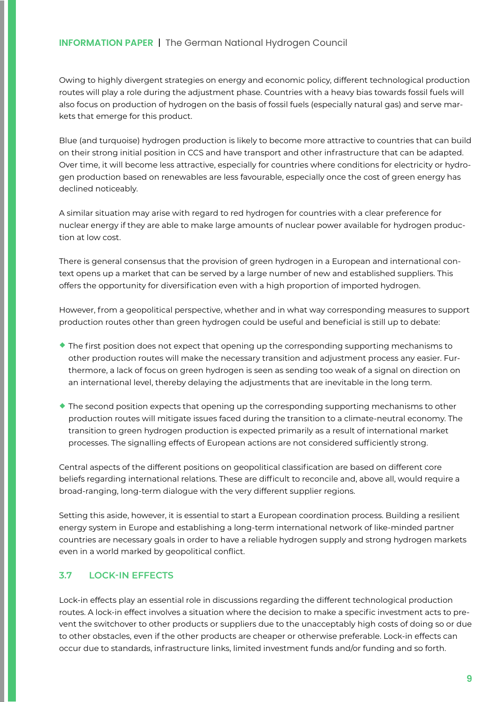Owing to highly divergent strategies on energy and economic policy, different technological production routes will play a role during the adjustment phase. Countries with a heavy bias towards fossil fuels will also focus on production of hydrogen on the basis of fossil fuels (especially natural gas) and serve markets that emerge for this product.

Blue (and turquoise) hydrogen production is likely to become more attractive to countries that can build on their strong initial position in CCS and have transport and other infrastructure that can be adapted. Over time, it will become less attractive, especially for countries where conditions for electricity or hydrogen production based on renewables are less favourable, especially once the cost of green energy has declined noticeably.

A similar situation may arise with regard to red hydrogen for countries with a clear preference for nuclear energy if they are able to make large amounts of nuclear power available for hydrogen production at low cost.

There is general consensus that the provision of green hydrogen in a European and international context opens up a market that can be served by a large number of new and established suppliers. This offers the opportunity for diversification even with a high proportion of imported hydrogen.

However, from a geopolitical perspective, whether and in what way corresponding measures to support production routes other than green hydrogen could be useful and beneficial is still up to debate:

- $\bullet$  The first position does not expect that opening up the corresponding supporting mechanisms to other production routes will make the necessary transition and adjustment process any easier. Furthermore, a lack of focus on green hydrogen is seen as sending too weak of a signal on direction on an international level, thereby delaying the adjustments that are inevitable in the long term.
- $\bullet$  The second position expects that opening up the corresponding supporting mechanisms to other production routes will mitigate issues faced during the transition to a climate-neutral economy. The transition to green hydrogen production is expected primarily as a result of international market processes. The signalling effects of European actions are not considered sufficiently strong.

Central aspects of the different positions on geopolitical classification are based on different core beliefs regarding international relations. These are difficult to reconcile and, above all, would require a broad-ranging, long-term dialogue with the very different supplier regions.

Setting this aside, however, it is essential to start a European coordination process. Building a resilient energy system in Europe and establishing a long-term international network of like-minded partner countries are necessary goals in order to have a reliable hydrogen supply and strong hydrogen markets even in a world marked by geopolitical conflict.

#### **3.7 LOCK-IN EFFECTS**

Lock-in effects play an essential role in discussions regarding the different technological production routes. A lock-in effect involves a situation where the decision to make a specific investment acts to prevent the switchover to other products or suppliers due to the unacceptably high costs of doing so or due to other obstacles, even if the other products are cheaper or otherwise preferable. Lock-in effects can occur due to standards, infrastructure links, limited investment funds and/or funding and so forth.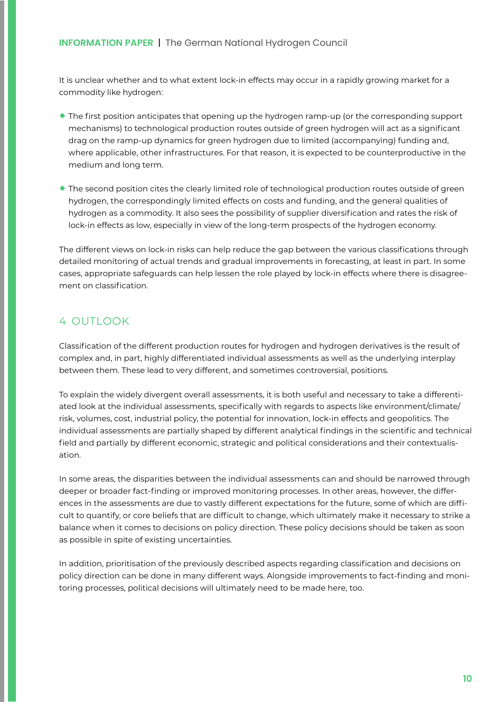It is unclear whether and to what extent lock-in effects may occur in a rapidly growing market for a commodity like hydrogen:

- $\bullet$  The first position anticipates that opening up the hydrogen ramp-up (or the corresponding support mechanisms) to technological production routes outside of green hydrogen will act as a significant drag on the ramp-up dynamics for green hydrogen due to limited (accompanying) funding and, where applicable, other infrastructures. For that reason, it is expected to be counterproductive in the medium and long term.
- ¡ The second position cites the clearly limited role of technological production routes outside of green hydrogen, the correspondingly limited effects on costs and funding, and the general qualities of hydrogen as a commodity. It also sees the possibility of supplier diversification and rates the risk of lock-in effects as low, especially in view of the long-term prospects of the hydrogen economy.

The different views on lock-in risks can help reduce the gap between the various classifications through detailed monitoring of actual trends and gradual improvements in forecasting, at least in part. In some cases, appropriate safeguards can help lessen the role played by lock-in effects where there is disagreement on classification.

# 4 OUTLOOK

Classification of the different production routes for hydrogen and hydrogen derivatives is the result of complex and, in part, highly differentiated individual assessments as well as the underlying interplay between them. These lead to very different, and sometimes controversial, positions.

To explain the widely divergent overall assessments, it is both useful and necessary to take a differentiated look at the individual assessments, specifically with regards to aspects like environment/climate/ risk, volumes, cost, industrial policy, the potential for innovation, lock-in effects and geopolitics. The individual assessments are partially shaped by different analytical findings in the scientific and technical field and partially by different economic, strategic and political considerations and their contextualisation.

In some areas, the disparities between the individual assessments can and should be narrowed through deeper or broader fact-finding or improved monitoring processes. In other areas, however, the differences in the assessments are due to vastly different expectations for the future, some of which are difficult to quantify, or core beliefs that are difficult to change, which ultimately make it necessary to strike a balance when it comes to decisions on policy direction. These policy decisions should be taken as soon as possible in spite of existing uncertainties.

In addition, prioritisation of the previously described aspects regarding classification and decisions on policy direction can be done in many different ways. Alongside improvements to fact-finding and monitoring processes, political decisions will ultimately need to be made here, too.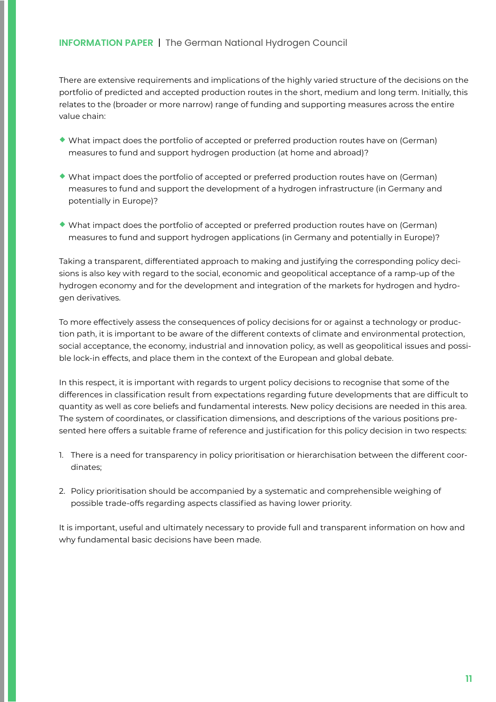There are extensive requirements and implications of the highly varied structure of the decisions on the portfolio of predicted and accepted production routes in the short, medium and long term. Initially, this relates to the (broader or more narrow) range of funding and supporting measures across the entire value chain:

- ¡ What impact does the portfolio of accepted or preferred production routes have on (German) measures to fund and support hydrogen production (at home and abroad)?
- ¡ What impact does the portfolio of accepted or preferred production routes have on (German) measures to fund and support the development of a hydrogen infrastructure (in Germany and potentially in Europe)?
- ¡ What impact does the portfolio of accepted or preferred production routes have on (German) measures to fund and support hydrogen applications (in Germany and potentially in Europe)?

Taking a transparent, differentiated approach to making and justifying the corresponding policy decisions is also key with regard to the social, economic and geopolitical acceptance of a ramp-up of the hydrogen economy and for the development and integration of the markets for hydrogen and hydrogen derivatives.

To more effectively assess the consequences of policy decisions for or against a technology or production path, it is important to be aware of the different contexts of climate and environmental protection, social acceptance, the economy, industrial and innovation policy, as well as geopolitical issues and possible lock-in effects, and place them in the context of the European and global debate.

In this respect, it is important with regards to urgent policy decisions to recognise that some of the differences in classification result from expectations regarding future developments that are difficult to quantity as well as core beliefs and fundamental interests. New policy decisions are needed in this area. The system of coordinates, or classification dimensions, and descriptions of the various positions presented here offers a suitable frame of reference and justification for this policy decision in two respects:

- 1. There is a need for transparency in policy prioritisation or hierarchisation between the different coordinates;
- 2. Policy prioritisation should be accompanied by a systematic and comprehensible weighing of possible trade-offs regarding aspects classified as having lower priority.

It is important, useful and ultimately necessary to provide full and transparent information on how and why fundamental basic decisions have been made.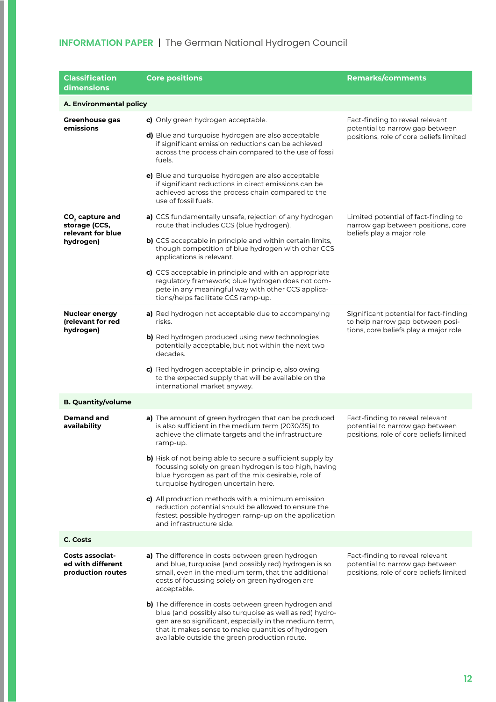| <b>Classification</b><br>dimensions                                  | <b>Core positions</b>                                                                                                                                                                                                                                                                                                                                                                                                                                          | <b>Remarks/comments</b>                                                                                             |
|----------------------------------------------------------------------|----------------------------------------------------------------------------------------------------------------------------------------------------------------------------------------------------------------------------------------------------------------------------------------------------------------------------------------------------------------------------------------------------------------------------------------------------------------|---------------------------------------------------------------------------------------------------------------------|
| A. Environmental policy                                              |                                                                                                                                                                                                                                                                                                                                                                                                                                                                |                                                                                                                     |
| <b>Greenhouse gas</b><br>emissions                                   | c) Only green hydrogen acceptable.<br>d) Blue and turquoise hydrogen are also acceptable<br>if significant emission reductions can be achieved<br>across the process chain compared to the use of fossil<br>fuels.                                                                                                                                                                                                                                             | Fact-finding to reveal relevant<br>potential to narrow gap between<br>positions, role of core beliefs limited       |
|                                                                      | e) Blue and turquoise hydrogen are also acceptable<br>if significant reductions in direct emissions can be<br>achieved across the process chain compared to the<br>use of fossil fuels.                                                                                                                                                                                                                                                                        |                                                                                                                     |
| $CO2$ capture and<br>storage (CCS,<br>relevant for blue<br>hydrogen) | a) CCS fundamentally unsafe, rejection of any hydrogen<br>route that includes CCS (blue hydrogen).<br>b) CCS acceptable in principle and within certain limits,<br>though competition of blue hydrogen with other CCS<br>applications is relevant.<br>c) CCS acceptable in principle and with an appropriate<br>regulatory framework; blue hydrogen does not com-<br>pete in any meaningful way with other CCS applica-<br>tions/helps facilitate CCS ramp-up. | Limited potential of fact-finding to<br>narrow gap between positions, core<br>beliefs play a major role             |
| <b>Nuclear energy</b><br>(relevant for red<br>hydrogen)              | a) Red hydrogen not acceptable due to accompanying<br>risks.<br>b) Red hydrogen produced using new technologies<br>potentially acceptable, but not within the next two<br>decades.<br>c) Red hydrogen acceptable in principle, also owing<br>to the expected supply that will be available on the<br>international market anyway.                                                                                                                              | Significant potential for fact-finding<br>to help narrow gap between posi-<br>tions, core beliefs play a major role |
| <b>B. Quantity/volume</b>                                            |                                                                                                                                                                                                                                                                                                                                                                                                                                                                |                                                                                                                     |
| Demand and<br>availability                                           | a) The amount of green hydrogen that can be produced<br>is also sufficient in the medium term (2030/35) to<br>achieve the climate targets and the infrastructure<br>ramp-up.                                                                                                                                                                                                                                                                                   | Fact-finding to reveal relevant<br>potential to narrow gap between<br>positions, role of core beliefs limited       |
|                                                                      | b) Risk of not being able to secure a sufficient supply by<br>focussing solely on green hydrogen is too high, having<br>blue hydrogen as part of the mix desirable, role of<br>turquoise hydrogen uncertain here.                                                                                                                                                                                                                                              |                                                                                                                     |
|                                                                      | c) All production methods with a minimum emission<br>reduction potential should be allowed to ensure the<br>fastest possible hydrogen ramp-up on the application<br>and infrastructure side.                                                                                                                                                                                                                                                                   |                                                                                                                     |
| C. Costs                                                             |                                                                                                                                                                                                                                                                                                                                                                                                                                                                |                                                                                                                     |
| <b>Costs associat-</b><br>ed with different<br>production routes     | a) The difference in costs between green hydrogen<br>and blue, turquoise (and possibly red) hydrogen is so<br>small, even in the medium term, that the additional<br>costs of focussing solely on green hydrogen are<br>acceptable.                                                                                                                                                                                                                            | Fact-finding to reveal relevant<br>potential to narrow gap between<br>positions, role of core beliefs limited       |
|                                                                      | b) The difference in costs between green hydrogen and<br>blue (and possibly also turquoise as well as red) hydro-<br>gen are so significant, especially in the medium term,<br>that it makes sense to make quantities of hydrogen<br>available outside the green production route.                                                                                                                                                                             |                                                                                                                     |